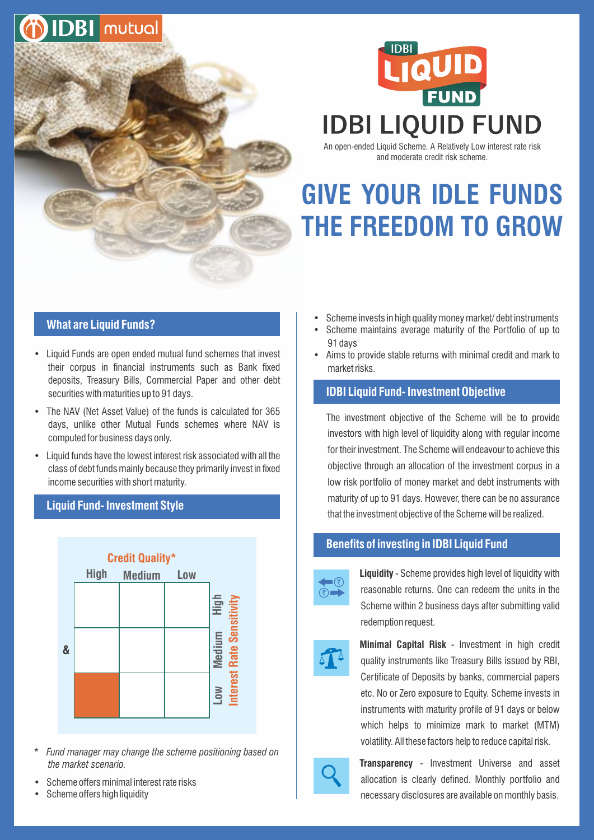



An open-ended Liquid Scheme. A Relatively Low interest rate risk and moderate credit risk scheme.

# **GIVE YOUR IDLE FUNDS THE FREEDOM TO GROW**

# **What are Liquid Funds?**

- Liquid Funds are open ended mutual fund schemes that invest their corpus in financial instruments such as Bank fixed deposits, Treasury Bills, Commercial Paper and other debt securities with maturities up to 91 days.
- The NAV (Net Asset Value) of the funds is calculated for 365 days, unlike other Mutual Funds schemes where NAV is computed for business days only.
- Liquid funds have the lowest interest risk associated with all the class of debt funds mainly because they primarily invest in fixed income securities with short maturity.

#### **Liquid Fund- Investment Style**



- \* *Fund manager may change the scheme positioning based on the market scenario.*
- Scheme offers minimal interest rate risks
- Scheme offers high liquidity
- Scheme invests in high quality money market/debt instruments
- Scheme maintains average maturity of the Portfolio of up to 91 days
- Aims to provide stable returns with minimal credit and mark to market risks.

### **IDBI Liquid Fund- Investment Objective**

The investment objective of the Scheme will be to provide investors with high level of liquidity along with regular income for their investment. The Scheme will endeavour to achieve this objective through an allocation of the investment corpus in a low risk portfolio of money market and debt instruments with maturity of up to 91 days. However, there can be no assurance that the investment objective of the Scheme will be realized.

#### **Benefits of investing in IDBI Liquid Fund**



**Liquidity** - Scheme provides high level of liquidity with reasonable returns. One can redeem the units in the Scheme within 2 business days after submitting valid redemption request.



**Minimal Capital Risk** - Investment in high credit quality instruments like Treasury Bills issued by RBI, Certificate of Deposits by banks, commercial papers etc. No or Zero exposure to Equity. Scheme invests in instruments with maturity profile of 91 days or below which helps to minimize mark to market (MTM) volatility. All these factors help to reduce capital risk.



**Transparency** - Investment Universe and asset allocation is clearly defined. Monthly portfolio and necessary disclosures are available on monthly basis.